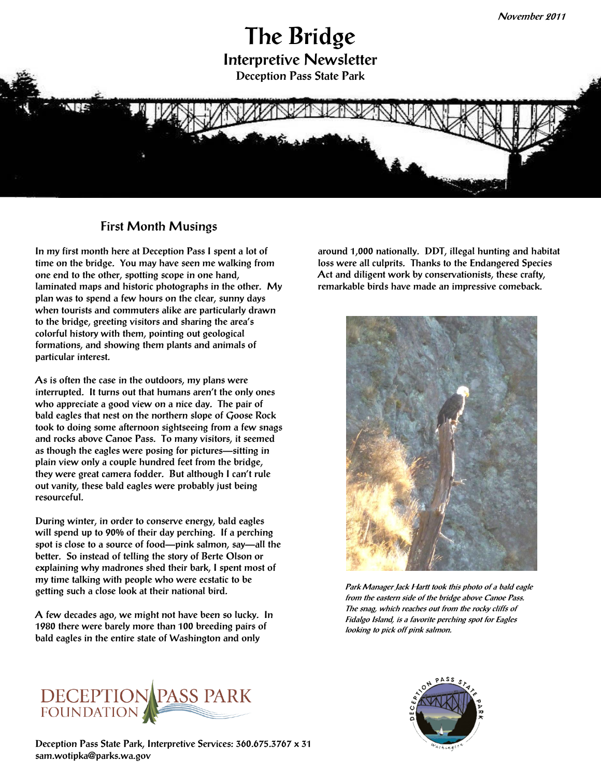# **The Bridge Interpretive Newsletter Deception Pass State Park**



#### **First Month Musings**

**In my first month here at Deception Pass I spent a lot of time on the bridge. You may have seen me walking from one end to the other, spotting scope in one hand, laminated maps and historic photographs in the other. My plan was to spend a few hours on the clear, sunny days when tourists and commuters alike are particularly drawn to the bridge, greeting visitors and sharing the area's colorful history with them, pointing out geological formations, and showing them plants and animals of particular interest.** 

**As is often the case in the outdoors, my plans were interrupted. It turns out that humans aren't the only ones who appreciate a good view on a nice day. The pair of bald eagles that nest on the northern slope of Goose Rock took to doing some afternoon sightseeing from a few snags and rocks above Canoe Pass. To many visitors, it seemed as though the eagles were posing for pictures—sitting in plain view only a couple hundred feet from the bridge, they were great camera fodder. But although I can't rule out vanity, these bald eagles were probably just being resourceful.** 

**During winter, in order to conserve energy, bald eagles will spend up to 90% of their day perching. If a perching spot is close to a source of food—pink salmon, say—all the better. So instead of telling the story of Berte Olson or explaining why madrones shed their bark, I spent most of my time talking with people who were ecstatic to be getting such a close look at their national bird.**

**A few decades ago, we might not have been so lucky. In 1980 there were barely more than 100 breeding pairs of bald eagles in the entire state of Washington and only** 

**around 1,000 nationally. DDT, illegal hunting and habitat loss were all culprits. Thanks to the Endangered Species Act and diligent work by conservationists, these crafty, remarkable birds have made an impressive comeback.**



**Park Manager Jack Hartt took this photo of a bald eagle from the eastern side of the bridge above Canoe Pass. The snag, which reaches out from the rocky cliffs of Fidalgo Island, is a favorite perching spot for Eagles looking to pick off pink salmon.** 



**Deception Pass State Park, Interpretive Services: 360.675.3767 x 31 sam.wotipka@parks.wa.gov**

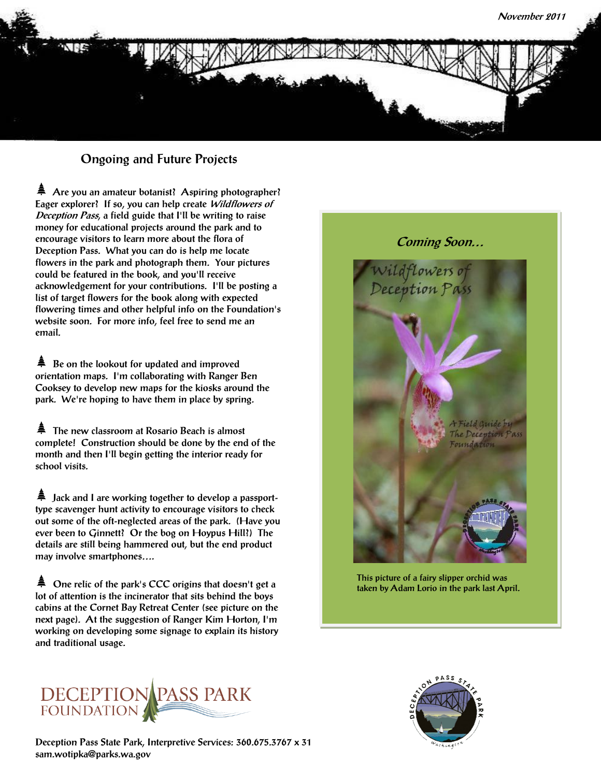

## **Ongoing and Future Projects**

**Are you an amateur botanist? Aspiring photographer? Eager explorer? If so, you can help create Wildflowers of Deception Pass, a field guide that I'll be writing to raise money for educational projects around the park and to encourage visitors to learn more about the flora of Deception Pass. What you can do is help me locate flowers in the park and photograph them. Your pictures could be featured in the book, and you'll receive acknowledgement for your contributions. I'll be posting a list of target flowers for the book along with expected flowering times and other helpful info on the Foundation's website soon. For more info, feel free to send me an email.** 

**Be on the lookout for updated and improved orientation maps. I'm collaborating with Ranger Ben Cooksey to develop new maps for the kiosks around the park. We're hoping to have them in place by spring.**

**The new classroom at Rosario Beach is almost complete! Construction should be done by the end of the month and then I'll begin getting the interior ready for school visits.**

**Jack and I are working together to develop a passporttype scavenger hunt activity to encourage visitors to check out some of the oft-neglected areas of the park. (Have you ever been to Ginnett? Or the bog on Hoypus Hill?) The details are still being hammered out, but the end product may involve smartphones….**

**One relic of the park's CCC origins that doesn't get a lot of attention is the incinerator that sits behind the boys cabins at the Cornet Bay Retreat Center (see picture on the next page). At the suggestion of Ranger Kim Horton, I'm working on developing some signage to explain its history and traditional usage.**



**This picture of a fairy slipper orchid was taken by Adam Lorio in the park last April.** 



**Deception Pass State Park, Interpretive Services: 360.675.3767 x 31 sam.wotipka@parks.wa.gov**